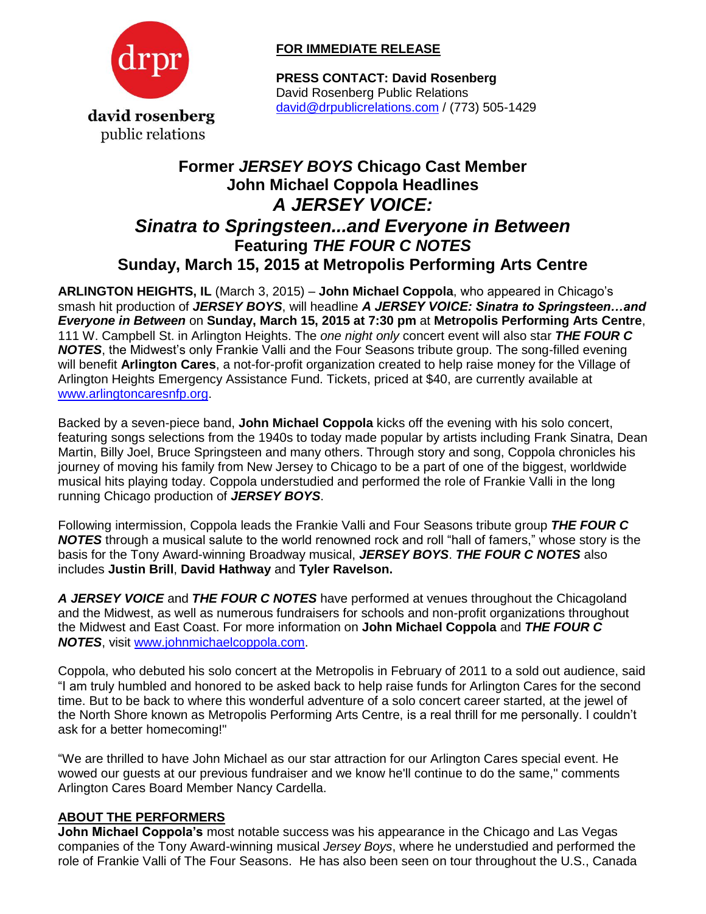

## **FOR IMMEDIATE RELEASE**

**PRESS CONTACT: David Rosenberg** David Rosenberg Public Relations [david@drpublicrelations.com](mailto:david@drpublicrelations.com) / (773) 505-1429

## **Former** *JERSEY BOYS* **Chicago Cast Member John Michael Coppola Headlines** *A JERSEY VOICE: Sinatra to Springsteen...and Everyone in Between*  **Featuring** *THE FOUR C NOTES* **Sunday, March 15, 2015 at Metropolis Performing Arts Centre**

**ARLINGTON HEIGHTS, IL** (March 3, 2015) – **John Michael Coppola**, who appeared in Chicago's smash hit production of *JERSEY BOYS*, will headline *A JERSEY VOICE: Sinatra to Springsteen…and Everyone in Between* on **Sunday, March 15, 2015 at 7:30 pm** at **Metropolis Performing Arts Centre**, 111 W. Campbell St. in Arlington Heights. The *one night only* concert event will also star *THE FOUR C NOTES*, the Midwest's only Frankie Valli and the Four Seasons tribute group. The song-filled evening will benefit **Arlington Cares**, a not-for-profit organization created to help raise money for the Village of Arlington Heights Emergency Assistance Fund. Tickets, priced at \$40, are currently available at [www.arlingtoncaresnfp.org.](http://www.arlingtoncaresnfp.org/)

Backed by a seven-piece band, **John Michael Coppola** kicks off the evening with his solo concert, featuring songs selections from the 1940s to today made popular by artists including Frank Sinatra, Dean Martin, Billy Joel, Bruce Springsteen and many others. Through story and song, Coppola chronicles his journey of moving his family from New Jersey to Chicago to be a part of one of the biggest, worldwide musical hits playing today. Coppola understudied and performed the role of Frankie Valli in the long running Chicago production of *JERSEY BOYS*.

Following intermission, Coppola leads the Frankie Valli and Four Seasons tribute group *THE FOUR C NOTES* through a musical salute to the world renowned rock and roll "hall of famers," whose story is the basis for the Tony Award-winning Broadway musical, *JERSEY BOYS*. *THE FOUR C NOTES* also includes **Justin Brill**, **David Hathway** and **Tyler Ravelson.** 

*A JERSEY VOICE* and *THE FOUR C NOTES* have performed at venues throughout the Chicagoland and the Midwest, as well as numerous fundraisers for schools and non-profit organizations throughout the Midwest and East Coast. For more information on **John Michael Coppola** and *THE FOUR C NOTES*, visit [www.johnmichaelcoppola.com.](http://www.johnmichaelcoppola.com/)

Coppola, who debuted his solo concert at the Metropolis in February of 2011 to a sold out audience, said "I am truly humbled and honored to be asked back to help raise funds for Arlington Cares for the second time. But to be back to where this wonderful adventure of a solo concert career started, at the jewel of the North Shore known as Metropolis Performing Arts Centre, is a real thrill for me personally. I couldn't ask for a better homecoming!"

"We are thrilled to have John Michael as our star attraction for our Arlington Cares special event. He wowed our guests at our previous fundraiser and we know he'll continue to do the same," comments Arlington Cares Board Member Nancy Cardella.

## **ABOUT THE PERFORMERS**

**John Michael Coppola's** most notable success was his appearance in the Chicago and Las Vegas companies of the Tony Award-winning musical *Jersey Boys*, where he understudied and performed the role of Frankie Valli of The Four Seasons. He has also been seen on tour throughout the U.S., Canada